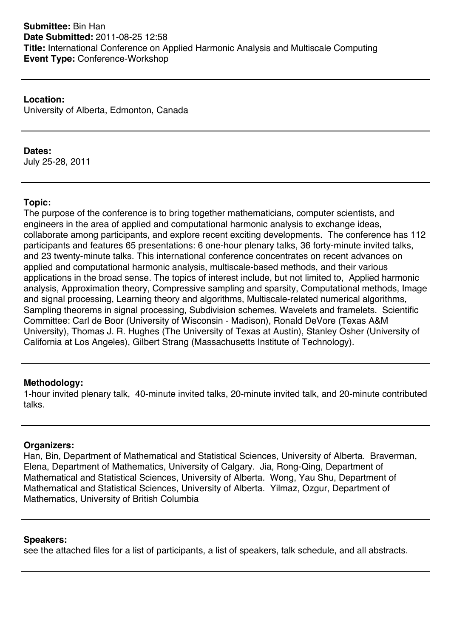**Location:** University of Alberta, Edmonton, Canada

### **Dates:**

July 25-28, 2011

# **Topic:**

The purpose of the conference is to bring together mathematicians, computer scientists, and engineers in the area of applied and computational harmonic analysis to exchange ideas, collaborate among participants, and explore recent exciting developments. The conference has 112 participants and features 65 presentations: 6 one-hour plenary talks, 36 forty-minute invited talks, and 23 twenty-minute talks. This international conference concentrates on recent advances on applied and computational harmonic analysis, multiscale-based methods, and their various applications in the broad sense. The topics of interest include, but not limited to, Applied harmonic analysis, Approximation theory, Compressive sampling and sparsity, Computational methods, Image and signal processing, Learning theory and algorithms, Multiscale-related numerical algorithms, Sampling theorems in signal processing, Subdivision schemes, Wavelets and framelets. Scientific Committee: Carl de Boor (University of Wisconsin - Madison), Ronald DeVore (Texas A&M University), Thomas J. R. Hughes (The University of Texas at Austin), Stanley Osher (University of California at Los Angeles), Gilbert Strang (Massachusetts Institute of Technology).

#### **Methodology:**

1-hour invited plenary talk, 40-minute invited talks, 20-minute invited talk, and 20-minute contributed talks.

#### **Organizers:**

Han, Bin, Department of Mathematical and Statistical Sciences, University of Alberta. Braverman, Elena, Department of Mathematics, University of Calgary. Jia, Rong-Qing, Department of Mathematical and Statistical Sciences, University of Alberta. Wong, Yau Shu, Department of Mathematical and Statistical Sciences, University of Alberta. Yilmaz, Ozgur, Department of Mathematics, University of British Columbia

#### **Speakers:**

see the attached files for a list of participants, a list of speakers, talk schedule, and all abstracts.